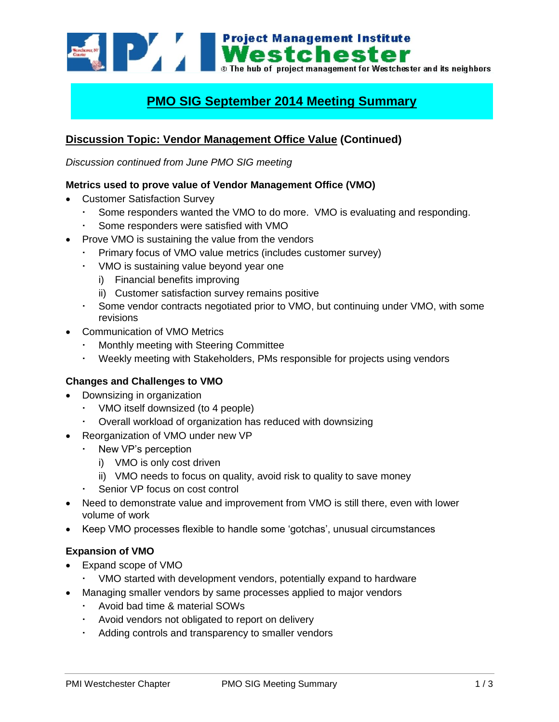**Example 1994 Mestchester**<br>**Mestchester**<br>**Mestchester** and its neighbors of project management for Westchester and its neighbors

# **PMO SIG September 2014 Meeting Summary**

# **Discussion Topic: Vendor Management Office Value (Continued)**

*Discussion continued from June PMO SIG meeting*

#### **Metrics used to prove value of Vendor Management Office (VMO)**

- Customer Satisfaction Survey
	- Some responders wanted the VMO to do more. VMO is evaluating and responding.
	- Some responders were satisfied with VMO
- Prove VMO is sustaining the value from the vendors
	- Primary focus of VMO value metrics (includes customer survey)
	- VMO is sustaining value beyond year one
		- i) Financial benefits improving
		- ii) Customer satisfaction survey remains positive
	- Some vendor contracts negotiated prior to VMO, but continuing under VMO, with some revisions
- Communication of VMO Metrics
	- Monthly meeting with Steering Committee
	- Weekly meeting with Stakeholders, PMs responsible for projects using vendors

# **Changes and Challenges to VMO**

- Downsizing in organization
	- VMO itself downsized (to 4 people)
	- Overall workload of organization has reduced with downsizing
- Reorganization of VMO under new VP
	- . New VP's perception
		- i) VMO is only cost driven
		- ii) VMO needs to focus on quality, avoid risk to quality to save money
	- Senior VP focus on cost control
- Need to demonstrate value and improvement from VMO is still there, even with lower volume of work
- Keep VMO processes flexible to handle some 'gotchas', unusual circumstances

#### **Expansion of VMO**

- Expand scope of VMO
	- VMO started with development vendors, potentially expand to hardware
- Managing smaller vendors by same processes applied to major vendors
	- Avoid bad time & material SOWs
	- Avoid vendors not obligated to report on delivery
	- Adding controls and transparency to smaller vendors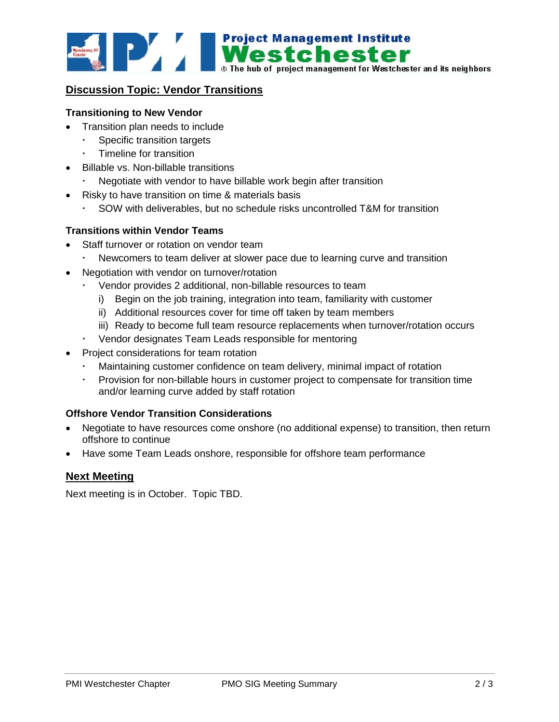

## **Discussion Topic: Vendor Transitions**

### **Transitioning to New Vendor**

- Transition plan needs to include
	- Specific transition targets
	- Timeline for transition
- Billable vs. Non-billable transitions
	- Negotiate with vendor to have billable work begin after transition
- Risky to have transition on time & materials basis
	- SOW with deliverables, but no schedule risks uncontrolled T&M for transition

#### **Transitions within Vendor Teams**

- Staff turnover or rotation on vendor team
	- Newcomers to team deliver at slower pace due to learning curve and transition
- Negotiation with vendor on turnover/rotation
	- Vendor provides 2 additional, non-billable resources to team
		- i) Begin on the job training, integration into team, familiarity with customer
		- ii) Additional resources cover for time off taken by team members
		- iii) Ready to become full team resource replacements when turnover/rotation occurs
	- Vendor designates Team Leads responsible for mentoring
- Project considerations for team rotation
	- Maintaining customer confidence on team delivery, minimal impact of rotation
	- Provision for non-billable hours in customer project to compensate for transition time and/or learning curve added by staff rotation

### **Offshore Vendor Transition Considerations**

- Negotiate to have resources come onshore (no additional expense) to transition, then return offshore to continue
- Have some Team Leads onshore, responsible for offshore team performance

### **Next Meeting**

Next meeting is in October. Topic TBD.